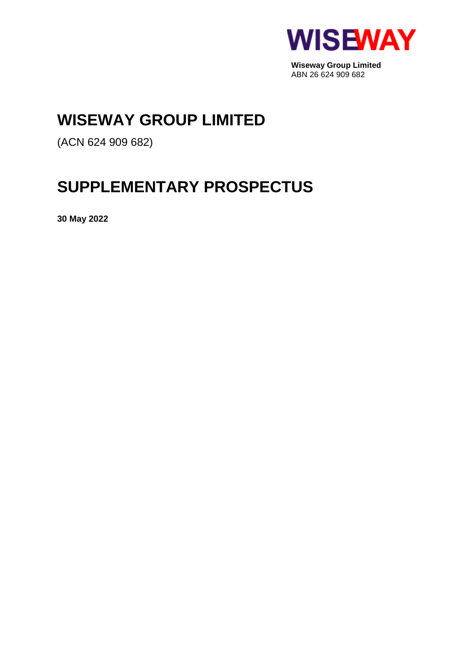

**Wiseway Group Limited** ABN 26 624 909 682

# **WISEWAY GROUP LIMITED**

(ACN 624 909 682)

# **SUPPLEMENTARY PROSPECTUS**

**30 May 2022**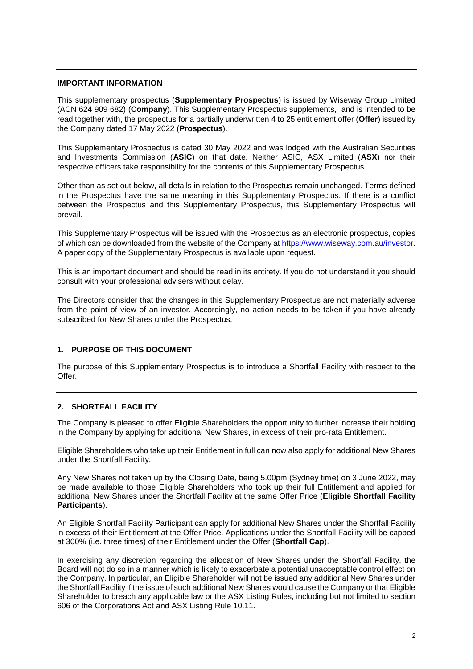# **IMPORTANT INFORMATION**

This supplementary prospectus (**Supplementary Prospectus**) is issued by Wiseway Group Limited (ACN 624 909 682) (**Company**). This Supplementary Prospectus supplements, and is intended to be read together with, the prospectus for a partially underwritten 4 to 25 entitlement offer (**Offer**) issued by the Company dated 17 May 2022 (**Prospectus**).

This Supplementary Prospectus is dated 30 May 2022 and was lodged with the Australian Securities and Investments Commission (**ASIC**) on that date. Neither ASIC, ASX Limited (**ASX**) nor their respective officers take responsibility for the contents of this Supplementary Prospectus.

Other than as set out below, all details in relation to the Prospectus remain unchanged. Terms defined in the Prospectus have the same meaning in this Supplementary Prospectus. If there is a conflict between the Prospectus and this Supplementary Prospectus, this Supplementary Prospectus will prevail.

This Supplementary Prospectus will be issued with the Prospectus as an electronic prospectus, copies of which can be downloaded from the website of the Company at [https://www.wiseway.com.au/investor.](https://www.wiseway.com.au/investor) A paper copy of the Supplementary Prospectus is available upon request.

This is an important document and should be read in its entirety. If you do not understand it you should consult with your professional advisers without delay.

The Directors consider that the changes in this Supplementary Prospectus are not materially adverse from the point of view of an investor. Accordingly, no action needs to be taken if you have already subscribed for New Shares under the Prospectus.

# **1. PURPOSE OF THIS DOCUMENT**

The purpose of this Supplementary Prospectus is to introduce a Shortfall Facility with respect to the Offer.

# **2. SHORTFALL FACILITY**

The Company is pleased to offer Eligible Shareholders the opportunity to further increase their holding in the Company by applying for additional New Shares, in excess of their pro-rata Entitlement.

Eligible Shareholders who take up their Entitlement in full can now also apply for additional New Shares under the Shortfall Facility.

Any New Shares not taken up by the Closing Date, being 5.00pm (Sydney time) on 3 June 2022, may be made available to those Eligible Shareholders who took up their full Entitlement and applied for additional New Shares under the Shortfall Facility at the same Offer Price (**Eligible Shortfall Facility Participants**).

An Eligible Shortfall Facility Participant can apply for additional New Shares under the Shortfall Facility in excess of their Entitlement at the Offer Price. Applications under the Shortfall Facility will be capped at 300% (i.e. three times) of their Entitlement under the Offer (**Shortfall Cap**).

In exercising any discretion regarding the allocation of New Shares under the Shortfall Facility, the Board will not do so in a manner which is likely to exacerbate a potential unacceptable control effect on the Company. In particular, an Eligible Shareholder will not be issued any additional New Shares under the Shortfall Facility if the issue of such additional New Shares would cause the Company or that Eligible Shareholder to breach any applicable law or the ASX Listing Rules, including but not limited to section 606 of the Corporations Act and ASX Listing Rule 10.11.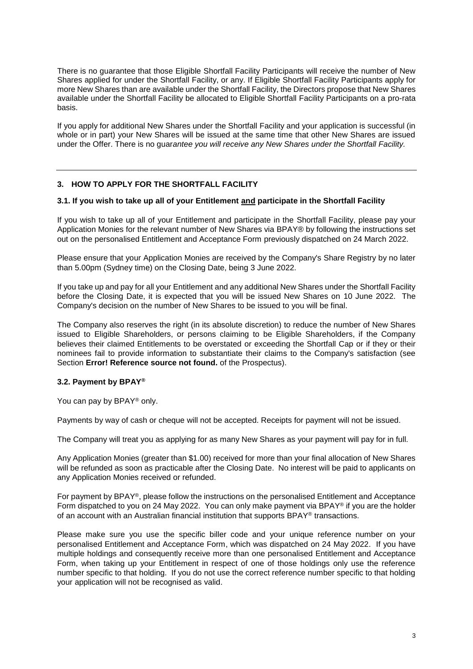There is no guarantee that those Eligible Shortfall Facility Participants will receive the number of New Shares applied for under the Shortfall Facility, or any. If Eligible Shortfall Facility Participants apply for more New Shares than are available under the Shortfall Facility, the Directors propose that New Shares available under the Shortfall Facility be allocated to Eligible Shortfall Facility Participants on a pro-rata basis.

If you apply for additional New Shares under the Shortfall Facility and your application is successful (in whole or in part) your New Shares will be issued at the same time that other New Shares are issued under the Offer. There is no guar*antee you will receive any New Shares under the Shortfall Facility.*

# **3. HOW TO APPLY FOR THE SHORTFALL FACILITY**

#### **3.1. If you wish to take up all of your Entitlement and participate in the Shortfall Facility**

If you wish to take up all of your Entitlement and participate in the Shortfall Facility, please pay your Application Monies for the relevant number of New Shares via BPAY® by following the instructions set out on the personalised Entitlement and Acceptance Form previously dispatched on 24 March 2022.

Please ensure that your Application Monies are received by the Company's Share Registry by no later than 5.00pm (Sydney time) on the Closing Date, being 3 June 2022.

If you take up and pay for all your Entitlement and any additional New Shares under the Shortfall Facility before the Closing Date, it is expected that you will be issued New Shares on 10 June 2022. The Company's decision on the number of New Shares to be issued to you will be final.

The Company also reserves the right (in its absolute discretion) to reduce the number of New Shares issued to Eligible Shareholders, or persons claiming to be Eligible Shareholders, if the Company believes their claimed Entitlements to be overstated or exceeding the Shortfall Cap or if they or their nominees fail to provide information to substantiate their claims to the Company's satisfaction (see Section **Error! Reference source not found.** of the Prospectus).

# **3.2. Payment by BPAY®**

You can pay by BPAY® only.

Payments by way of cash or cheque will not be accepted. Receipts for payment will not be issued.

The Company will treat you as applying for as many New Shares as your payment will pay for in full.

Any Application Monies (greater than \$1.00) received for more than your final allocation of New Shares will be refunded as soon as practicable after the Closing Date. No interest will be paid to applicants on any Application Monies received or refunded.

For payment by BPAY®, please follow the instructions on the personalised Entitlement and Acceptance Form dispatched to you on 24 May 2022. You can only make payment via BPAY® if you are the holder of an account with an Australian financial institution that supports BPAY® transactions.

Please make sure you use the specific biller code and your unique reference number on your personalised Entitlement and Acceptance Form, which was dispatched on 24 May 2022. If you have multiple holdings and consequently receive more than one personalised Entitlement and Acceptance Form, when taking up your Entitlement in respect of one of those holdings only use the reference number specific to that holding. If you do not use the correct reference number specific to that holding your application will not be recognised as valid.